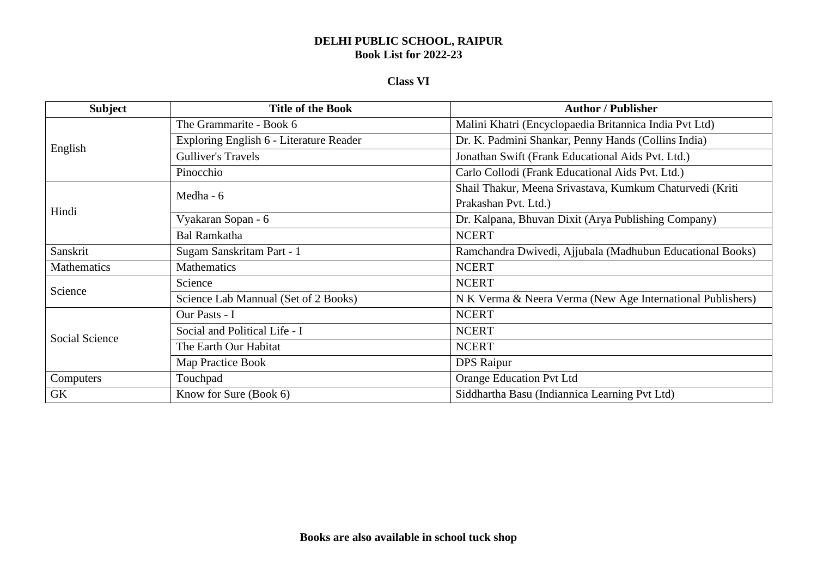#### **Class VI**

| <b>Subject</b>        | <b>Title of the Book</b>                | <b>Author / Publisher</b>                                  |
|-----------------------|-----------------------------------------|------------------------------------------------------------|
| English               | The Grammarite - Book 6                 | Malini Khatri (Encyclopaedia Britannica India Pvt Ltd)     |
|                       | Exploring English 6 - Literature Reader | Dr. K. Padmini Shankar, Penny Hands (Collins India)        |
|                       | <b>Gulliver's Travels</b>               | Jonathan Swift (Frank Educational Aids Pvt. Ltd.)          |
|                       | Pinocchio                               | Carlo Collodi (Frank Educational Aids Pvt. Ltd.)           |
| Hindi                 | Medha - 6                               | Shail Thakur, Meena Srivastava, Kumkum Chaturvedi (Kriti   |
|                       |                                         | Prakashan Pvt. Ltd.)                                       |
|                       | Vyakaran Sopan - 6                      | Dr. Kalpana, Bhuvan Dixit (Arya Publishing Company)        |
|                       | <b>Bal Ramkatha</b>                     | <b>NCERT</b>                                               |
| Sanskrit              | Sugam Sanskritam Part - 1               | Ramchandra Dwivedi, Ajjubala (Madhubun Educational Books)  |
| Mathematics           | Mathematics                             | <b>NCERT</b>                                               |
| Science               | Science                                 | <b>NCERT</b>                                               |
|                       | Science Lab Mannual (Set of 2 Books)    | N K Verma & Neera Verma (New Age International Publishers) |
| <b>Social Science</b> | Our Pasts - I                           | <b>NCERT</b>                                               |
|                       | Social and Political Life - I           | <b>NCERT</b>                                               |
|                       | The Earth Our Habitat                   | <b>NCERT</b>                                               |
|                       | Map Practice Book                       | <b>DPS</b> Raipur                                          |
| Computers             | Touchpad                                | <b>Orange Education Pvt Ltd</b>                            |
| <b>GK</b>             | Know for Sure (Book 6)                  | Siddhartha Basu (Indiannica Learning Pvt Ltd)              |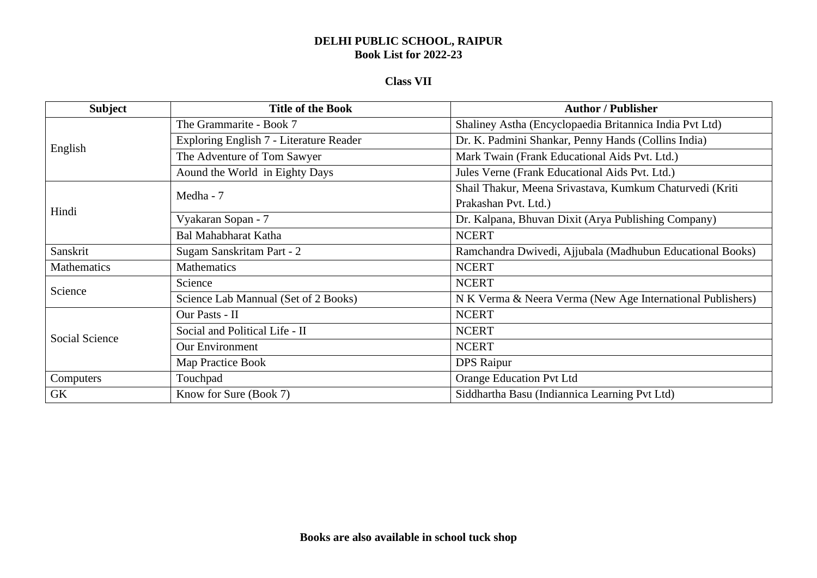#### **Class VII**

| <b>Subject</b>        | <b>Title of the Book</b>                | <b>Author / Publisher</b>                                  |
|-----------------------|-----------------------------------------|------------------------------------------------------------|
| English               | The Grammarite - Book 7                 | Shaliney Astha (Encyclopaedia Britannica India Pvt Ltd)    |
|                       | Exploring English 7 - Literature Reader | Dr. K. Padmini Shankar, Penny Hands (Collins India)        |
|                       | The Adventure of Tom Sawyer             | Mark Twain (Frank Educational Aids Pvt. Ltd.)              |
|                       | Aound the World in Eighty Days          | Jules Verne (Frank Educational Aids Pvt. Ltd.)             |
| Hindi                 | Medha - 7                               | Shail Thakur, Meena Srivastava, Kumkum Chaturvedi (Kriti   |
|                       |                                         | Prakashan Pvt. Ltd.)                                       |
|                       | Vyakaran Sopan - 7                      | Dr. Kalpana, Bhuvan Dixit (Arya Publishing Company)        |
|                       | <b>Bal Mahabharat Katha</b>             | <b>NCERT</b>                                               |
| Sanskrit              | Sugam Sanskritam Part - 2               | Ramchandra Dwivedi, Ajjubala (Madhubun Educational Books)  |
| Mathematics           | Mathematics                             | <b>NCERT</b>                                               |
| Science               | Science                                 | <b>NCERT</b>                                               |
|                       | Science Lab Mannual (Set of 2 Books)    | N K Verma & Neera Verma (New Age International Publishers) |
| <b>Social Science</b> | Our Pasts - II                          | <b>NCERT</b>                                               |
|                       | Social and Political Life - II          | <b>NCERT</b>                                               |
|                       | <b>Our Environment</b>                  | <b>NCERT</b>                                               |
|                       | Map Practice Book                       | <b>DPS</b> Raipur                                          |
| Computers             | Touchpad                                | <b>Orange Education Pvt Ltd</b>                            |
| <b>GK</b>             | Know for Sure (Book 7)                  | Siddhartha Basu (Indiannica Learning Pvt Ltd)              |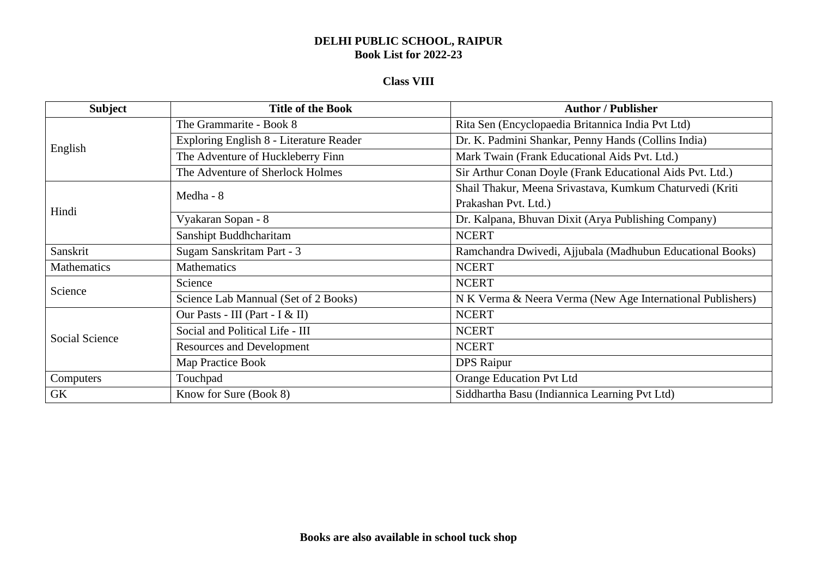#### **Class VIII**

| <b>Subject</b>        | <b>Title of the Book</b>                | <b>Author / Publisher</b>                                  |
|-----------------------|-----------------------------------------|------------------------------------------------------------|
|                       | The Grammarite - Book 8                 | Rita Sen (Encyclopaedia Britannica India Pvt Ltd)          |
|                       | Exploring English 8 - Literature Reader | Dr. K. Padmini Shankar, Penny Hands (Collins India)        |
| English               | The Adventure of Huckleberry Finn       | Mark Twain (Frank Educational Aids Pvt. Ltd.)              |
|                       | The Adventure of Sherlock Holmes        | Sir Arthur Conan Doyle (Frank Educational Aids Pvt. Ltd.)  |
|                       | Medha - 8                               | Shail Thakur, Meena Srivastava, Kumkum Chaturvedi (Kriti   |
| Hindi                 |                                         | Prakashan Pvt. Ltd.)                                       |
|                       | Vyakaran Sopan - 8                      | Dr. Kalpana, Bhuvan Dixit (Arya Publishing Company)        |
|                       | Sanshipt Buddhcharitam                  | <b>NCERT</b>                                               |
| Sanskrit              | Sugam Sanskritam Part - 3               | Ramchandra Dwivedi, Ajjubala (Madhubun Educational Books)  |
| Mathematics           | Mathematics                             | <b>NCERT</b>                                               |
| Science               | Science                                 | <b>NCERT</b>                                               |
|                       | Science Lab Mannual (Set of 2 Books)    | N K Verma & Neera Verma (New Age International Publishers) |
|                       | Our Pasts - III (Part - I & II)         | <b>NCERT</b>                                               |
| <b>Social Science</b> | Social and Political Life - III         | <b>NCERT</b>                                               |
|                       | <b>Resources and Development</b>        | <b>NCERT</b>                                               |
|                       | Map Practice Book                       | DPS Raipur                                                 |
| Computers             | Touchpad                                | <b>Orange Education Pvt Ltd</b>                            |
| <b>GK</b>             | Know for Sure (Book 8)                  | Siddhartha Basu (Indiannica Learning Pvt Ltd)              |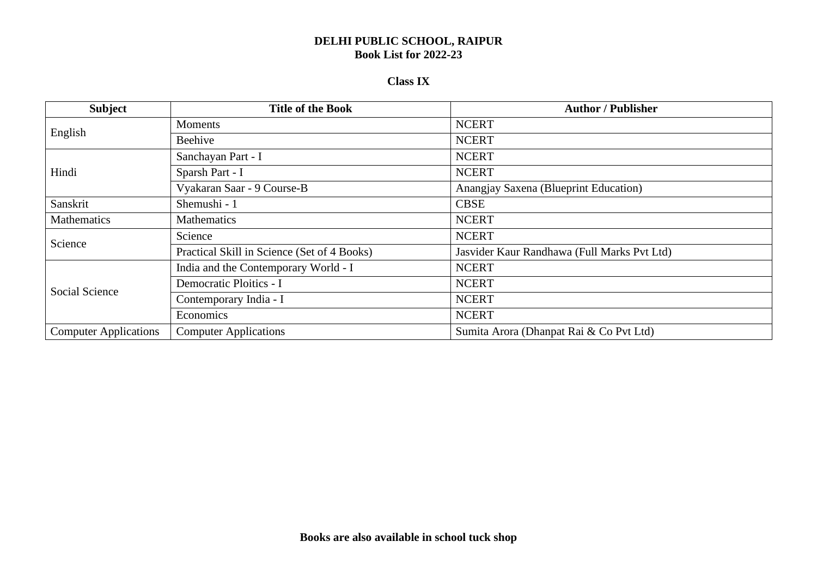#### **Class IX**

| <b>Subject</b>               | <b>Title of the Book</b>                    | <b>Author / Publisher</b>                   |
|------------------------------|---------------------------------------------|---------------------------------------------|
| English                      | Moments                                     | <b>NCERT</b>                                |
|                              | Beehive                                     | <b>NCERT</b>                                |
| Hindi                        | Sanchayan Part - I                          | <b>NCERT</b>                                |
|                              | Sparsh Part - I                             | <b>NCERT</b>                                |
|                              | Vyakaran Saar - 9 Course-B                  | Anangjay Saxena (Blueprint Education)       |
| Sanskrit                     | Shemushi - 1                                | <b>CBSE</b>                                 |
| Mathematics                  | <b>Mathematics</b>                          | <b>NCERT</b>                                |
| Science                      | Science                                     | <b>NCERT</b>                                |
|                              | Practical Skill in Science (Set of 4 Books) | Jasvider Kaur Randhawa (Full Marks Pvt Ltd) |
| <b>Social Science</b>        | India and the Contemporary World - I        | <b>NCERT</b>                                |
|                              | Democratic Ploitics - I                     | <b>NCERT</b>                                |
|                              | Contemporary India - I                      | <b>NCERT</b>                                |
|                              | Economics                                   | <b>NCERT</b>                                |
| <b>Computer Applications</b> | <b>Computer Applications</b>                | Sumita Arora (Dhanpat Rai & Co Pvt Ltd)     |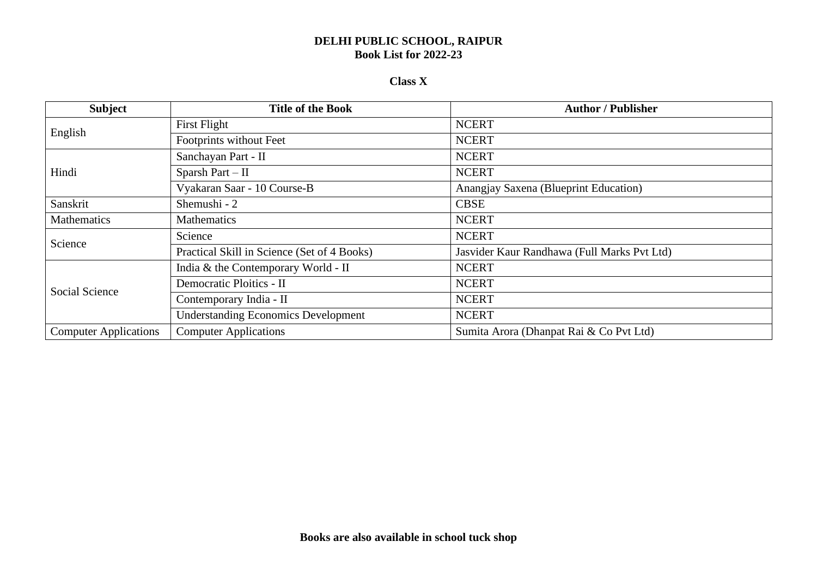#### **Class X**

| <b>Subject</b>               | <b>Title of the Book</b>                    | <b>Author / Publisher</b>                   |
|------------------------------|---------------------------------------------|---------------------------------------------|
| English                      | First Flight                                | <b>NCERT</b>                                |
|                              | Footprints without Feet                     | <b>NCERT</b>                                |
| Hindi                        | Sanchayan Part - II                         | <b>NCERT</b>                                |
|                              | Sparsh Part $-$ II                          | <b>NCERT</b>                                |
|                              | Vyakaran Saar - 10 Course-B                 | Anangjay Saxena (Blueprint Education)       |
| Sanskrit                     | Shemushi - 2                                | <b>CBSE</b>                                 |
| Mathematics                  | Mathematics                                 | <b>NCERT</b>                                |
| Science                      | Science                                     | <b>NCERT</b>                                |
|                              | Practical Skill in Science (Set of 4 Books) | Jasvider Kaur Randhawa (Full Marks Pvt Ltd) |
| <b>Social Science</b>        | India & the Contemporary World - II         | <b>NCERT</b>                                |
|                              | Democratic Ploitics - II                    | <b>NCERT</b>                                |
|                              | Contemporary India - II                     | <b>NCERT</b>                                |
|                              | <b>Understanding Economics Development</b>  | <b>NCERT</b>                                |
| <b>Computer Applications</b> | <b>Computer Applications</b>                | Sumita Arora (Dhanpat Rai & Co Pvt Ltd)     |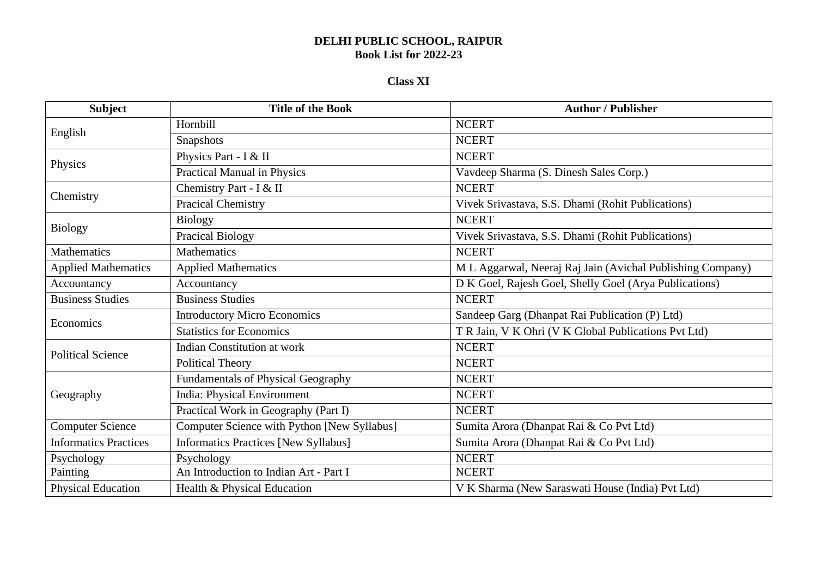## **Class XI**

| <b>Subject</b>               | <b>Title of the Book</b>                    | <b>Author / Publisher</b>                                  |
|------------------------------|---------------------------------------------|------------------------------------------------------------|
| English                      | Hornbill                                    | <b>NCERT</b>                                               |
|                              | Snapshots                                   | <b>NCERT</b>                                               |
| Physics                      | Physics Part - I & II                       | <b>NCERT</b>                                               |
|                              | <b>Practical Manual in Physics</b>          | Vavdeep Sharma (S. Dinesh Sales Corp.)                     |
| Chemistry                    | Chemistry Part - I & II                     | <b>NCERT</b>                                               |
|                              | <b>Pracical Chemistry</b>                   | Vivek Srivastava, S.S. Dhami (Rohit Publications)          |
|                              | <b>Biology</b>                              | <b>NCERT</b>                                               |
| <b>Biology</b>               | <b>Pracical Biology</b>                     | Vivek Srivastava, S.S. Dhami (Rohit Publications)          |
| Mathematics                  | <b>Mathematics</b>                          | <b>NCERT</b>                                               |
| <b>Applied Mathematics</b>   | <b>Applied Mathematics</b>                  | M L Aggarwal, Neeraj Raj Jain (Avichal Publishing Company) |
| Accountancy                  | Accountancy                                 | D K Goel, Rajesh Goel, Shelly Goel (Arya Publications)     |
| <b>Business Studies</b>      | <b>Business Studies</b>                     | <b>NCERT</b>                                               |
| Economics                    | <b>Introductory Micro Economics</b>         | Sandeep Garg (Dhanpat Rai Publication (P) Ltd)             |
|                              | <b>Statistics for Economics</b>             | T R Jain, V K Ohri (V K Global Publications Pvt Ltd)       |
| <b>Political Science</b>     | Indian Constitution at work                 | <b>NCERT</b>                                               |
|                              | <b>Political Theory</b>                     | <b>NCERT</b>                                               |
|                              | Fundamentals of Physical Geography          | <b>NCERT</b>                                               |
| Geography                    | India: Physical Environment                 | <b>NCERT</b>                                               |
|                              | Practical Work in Geography (Part I)        | <b>NCERT</b>                                               |
| <b>Computer Science</b>      | Computer Science with Python [New Syllabus] | Sumita Arora (Dhanpat Rai & Co Pvt Ltd)                    |
| <b>Informatics Practices</b> | <b>Informatics Practices [New Syllabus]</b> | Sumita Arora (Dhanpat Rai & Co Pvt Ltd)                    |
| Psychology                   | Psychology                                  | <b>NCERT</b>                                               |
| Painting                     | An Introduction to Indian Art - Part I      | <b>NCERT</b>                                               |
| <b>Physical Education</b>    | Health & Physical Education                 | V K Sharma (New Saraswati House (India) Pvt Ltd)           |